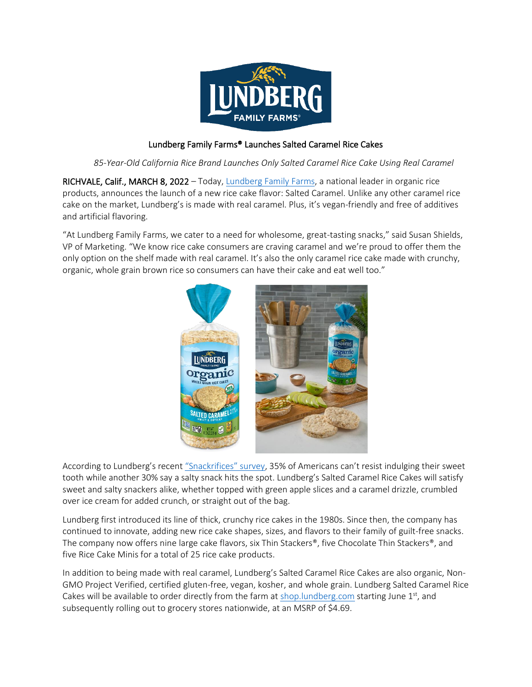

## Lundberg Family Farms® Launches Salted Caramel Rice Cakes

*85-Year-Old California Rice Brand Launches Only Salted Caramel Rice Cake Using Real Caramel*

RICHVALE, Calif., MARCH 8, 2022 – Today, [Lundberg Family Farms,](https://www.lundberg.com/) a national leader in organic rice products, announces the launch of a new rice cake flavor: Salted Caramel. Unlike any other caramel rice cake on the market, Lundberg's is made with real caramel. Plus, it's vegan-friendly and free of additives and artificial flavoring.

"At Lundberg Family Farms, we cater to a need for wholesome, great-tasting snacks," said Susan Shields, VP of Marketing. "We know rice cake consumers are craving caramel and we're proud to offer them the only option on the shelf made with real caramel. It's also the only caramel rice cake made with crunchy, organic, whole grain brown rice so consumers can have their cake and eat well too."



According to Lundberg's recent ["Snackrifices" survey](https://www.lundberg.com/blog/snackrifices), 35% of Americans can't resist indulging their sweet tooth while another 30% say a salty snack hits the spot. Lundberg's Salted Caramel Rice Cakes will satisfy sweet and salty snackers alike, whether topped with green apple slices and a caramel drizzle, crumbled over ice cream for added crunch, or straight out of the bag.

Lundberg first introduced its line of thick, crunchy rice cakes in the 1980s. Since then, the company has continued to innovate, adding new rice cake shapes, sizes, and flavors to their family of guilt-free snacks. The company now offers nine large cake flavors, six Thin Stackers®, five Chocolate Thin Stackers®, and five Rice Cake Minis for a total of 25 rice cake products.

In addition to being made with real caramel, Lundberg's Salted Caramel Rice Cakes are also organic, Non-GMO Project Verified, certified gluten-free, vegan, kosher, and whole grain. Lundberg Salted Caramel Rice Cakes will be available to order directly from the farm at **shop.lundberg.com** starting June 1<sup>st</sup>, and subsequently rolling out to grocery stores nationwide, at an MSRP of \$4.69.